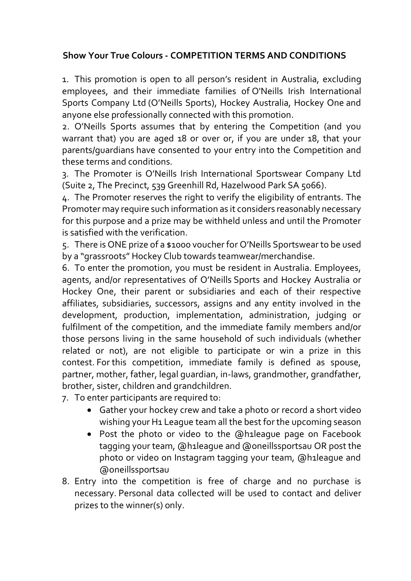## **Show Your True Colours - COMPETITION TERMS AND CONDITIONS**

1. This promotion is open to all person's resident in Australia, excluding employees, and their immediate families of O'Neills Irish International Sports Company Ltd (O'Neills Sports), Hockey Australia, Hockey One and anyone else professionally connected with this promotion.

2. O'Neills Sports assumes that by entering the Competition (and you warrant that) you are aged 18 or over or, if you are under 18, that your parents/guardians have consented to your entry into the Competition and these terms and conditions.

3. The Promoter is O'Neills Irish International Sportswear Company Ltd (Suite 2, The Precinct, 539 Greenhill Rd, Hazelwood Park SA 5066).

4. The Promoter reserves the right to verify the eligibility of entrants. The Promoter may require such information as it considers reasonably necessary for this purpose and a prize may be withheld unless and until the Promoter is satisfied with the verification.

5. There is ONE prize of a \$1000 voucher for O'Neills Sportswear to be used by a "grassroots" Hockey Club towards teamwear/merchandise.

6. To enter the promotion, you must be resident in Australia. Employees, agents, and/or representatives of O'Neills Sports and Hockey Australia or Hockey One, their parent or subsidiaries and each of their respective affiliates, subsidiaries, successors, assigns and any entity involved in the development, production, implementation, administration, judging or fulfilment of the competition, and the immediate family members and/or those persons living in the same household of such individuals (whether related or not), are not eligible to participate or win a prize in this contest. For this competition, immediate family is defined as spouse, partner, mother, father, legal guardian, in-laws, grandmother, grandfather, brother, sister, children and grandchildren.

7. To enter participants are required to:

- Gather your hockey crew and take a photo or record a short video wishing your H1 League team all the best for the upcoming season
- Post the photo or video to the @h1league page on Facebook tagging your team, @h1league and @oneillssportsau OR post the photo or video on Instagram tagging your team, @h1league and @oneillssportsau
- 8. Entry into the competition is free of charge and no purchase is necessary. Personal data collected will be used to contact and deliver prizes to the winner(s) only.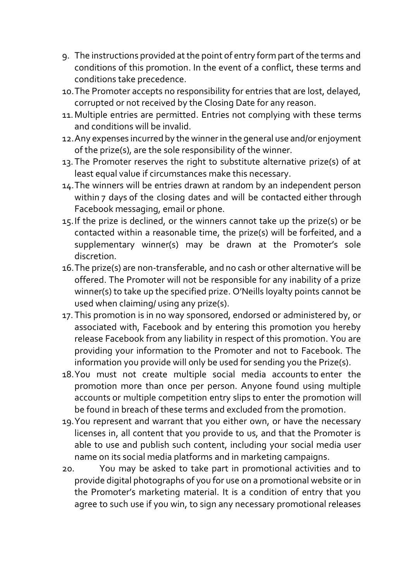- 9. The instructions provided at the point of entry form part of the terms and conditions of this promotion. In the event of a conflict, these terms and conditions take precedence.
- 10.The Promoter accepts no responsibility for entries that are lost, delayed, corrupted or not received by the Closing Date for any reason.
- 11.Multiple entries are permitted. Entries not complying with these terms and conditions will be invalid.
- 12.Any expenses incurred by the winner in the general use and/or enjoyment of the prize(s), are the sole responsibility of the winner.
- 13.The Promoter reserves the right to substitute alternative prize(s) of at least equal value if circumstances make this necessary.
- 14.The winners will be entries drawn at random by an independent person within 7 days of the closing dates and will be contacted either through Facebook messaging, email or phone.
- 15.If the prize is declined, or the winners cannot take up the prize(s) or be contacted within a reasonable time, the prize(s) will be forfeited, and a supplementary winner(s) may be drawn at the Promoter's sole discretion.
- 16.The prize(s) are non-transferable, and no cash or other alternative will be offered. The Promoter will not be responsible for any inability of a prize winner(s) to take up the specified prize. O'Neills loyalty points cannot be used when claiming/ using any prize(s).
- 17. This promotion is in no way sponsored, endorsed or administered by, or associated with, Facebook and by entering this promotion you hereby release Facebook from any liability in respect of this promotion. You are providing your information to the Promoter and not to Facebook. The information you provide will only be used for sending you the Prize(s).
- 18.You must not create multiple social media accounts to enter the promotion more than once per person. Anyone found using multiple accounts or multiple competition entry slips to enter the promotion will be found in breach of these terms and excluded from the promotion.
- 19.You represent and warrant that you either own, or have the necessary licenses in, all content that you provide to us, and that the Promoter is able to use and publish such content, including your social media user name on its social media platforms and in marketing campaigns.
- 20. You may be asked to take part in promotional activities and to provide digital photographs of you for use on a promotional website or in the Promoter's marketing material. It is a condition of entry that you agree to such use if you win, to sign any necessary promotional releases